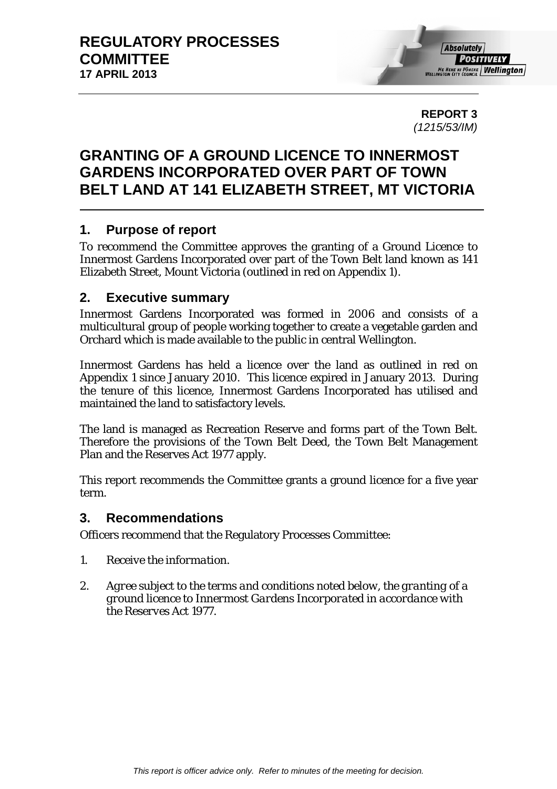**REPORT 3**  *(1215/53/IM)* 

# **GRANTING OF A GROUND LICENCE TO INNERMOST GARDENS INCORPORATED OVER PART OF TOWN BELT LAND AT 141 ELIZABETH STREET, MT VICTORIA**

# **1. Purpose of report**

To recommend the Committee approves the granting of a Ground Licence to Innermost Gardens Incorporated over part of the Town Belt land known as 141 Elizabeth Street, Mount Victoria (outlined in red on Appendix 1).

### **2. Executive summary**

Innermost Gardens Incorporated was formed in 2006 and consists of a multicultural group of people working together to create a vegetable garden and Orchard which is made available to the public in central Wellington.

Innermost Gardens has held a licence over the land as outlined in red on Appendix 1 since January 2010. This licence expired in January 2013. During the tenure of this licence, Innermost Gardens Incorporated has utilised and maintained the land to satisfactory levels.

The land is managed as Recreation Reserve and forms part of the Town Belt. Therefore the provisions of the Town Belt Deed, the Town Belt Management Plan and the Reserves Act 1977 apply.

This report recommends the Committee grants a ground licence for a five year term.

# **3. Recommendations**

Officers recommend that the Regulatory Processes Committee:

- *1. Receive the information.*
- *2. Agree subject to the terms and conditions noted below, the granting of a ground licence to Innermost Gardens Incorporated in accordance with the Reserves Act 1977.*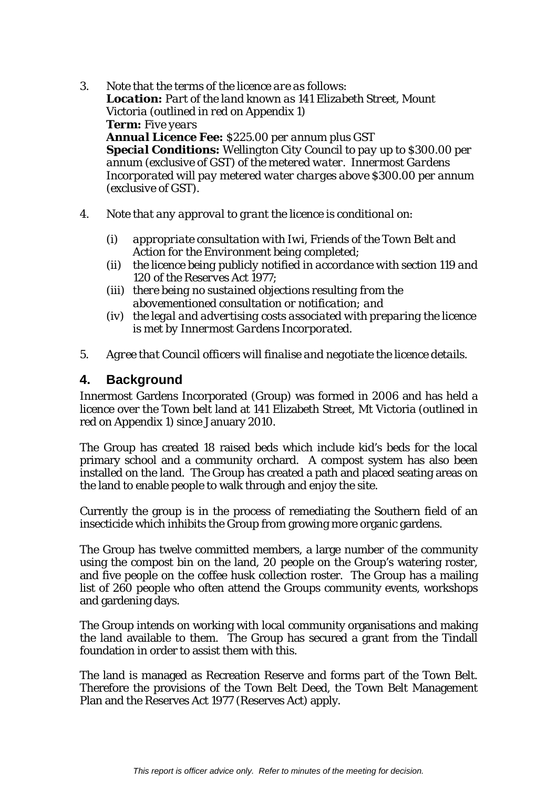- *3. Note that the terms of the licence are as follows: Location: Part of the land known as 141 Elizabeth Street, Mount Victoria (outlined in red on Appendix 1) Term: Five years Annual Licence Fee: \$225.00 per annum plus GST Special Conditions: Wellington City Council to pay up to \$300.00 per annum (exclusive of GST) of the metered water. Innermost Gardens Incorporated will pay metered water charges above \$300.00 per annum (exclusive of GST).*
- *4. Note that any approval to grant the licence is conditional on:* 
	- *(i) appropriate consultation with Iwi, Friends of the Town Belt and Action for the Environment being completed;*
	- *(ii) the licence being publicly notified in accordance with section 119 and 120 of the Reserves Act 1977;*
	- *(iii) there being no sustained objections resulting from the abovementioned consultation or notification; and*
	- *(iv) the legal and advertising costs associated with preparing the licence is met by Innermost Gardens Incorporated.*
- *5. Agree that Council officers will finalise and negotiate the licence details.*

### **4. Background**

Innermost Gardens Incorporated (Group) was formed in 2006 and has held a licence over the Town belt land at 141 Elizabeth Street, Mt Victoria (outlined in red on Appendix 1) since January 2010.

The Group has created 18 raised beds which include kid's beds for the local primary school and a community orchard. A compost system has also been installed on the land. The Group has created a path and placed seating areas on the land to enable people to walk through and enjoy the site.

Currently the group is in the process of remediating the Southern field of an insecticide which inhibits the Group from growing more organic gardens.

The Group has twelve committed members, a large number of the community using the compost bin on the land, 20 people on the Group's watering roster, and five people on the coffee husk collection roster. The Group has a mailing list of 260 people who often attend the Groups community events, workshops and gardening days.

The Group intends on working with local community organisations and making the land available to them. The Group has secured a grant from the Tindall foundation in order to assist them with this.

The land is managed as Recreation Reserve and forms part of the Town Belt. Therefore the provisions of the Town Belt Deed, the Town Belt Management Plan and the Reserves Act 1977 (Reserves Act) apply.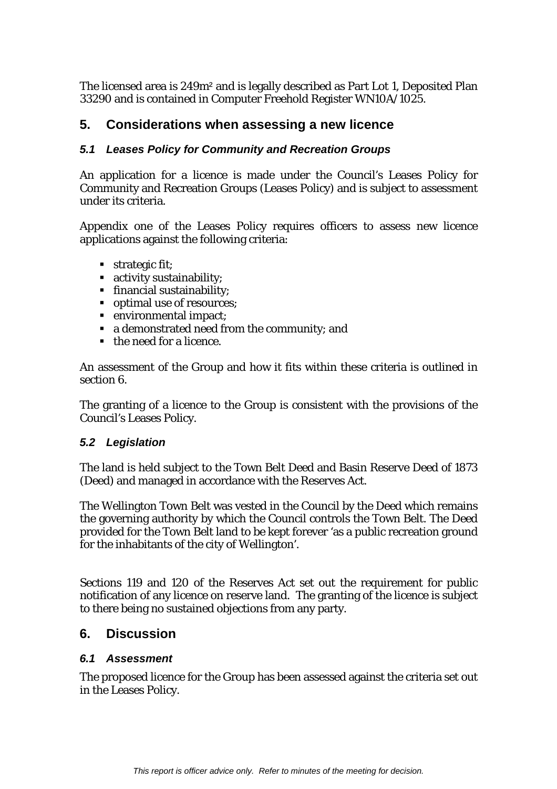The licensed area is 249m² and is legally described as Part Lot 1, Deposited Plan 33290 and is contained in Computer Freehold Register WN10A/1025.

# **5. Considerations when assessing a new licence**

### *5.1 Leases Policy for Community and Recreation Groups*

An application for a licence is made under the Council's Leases Policy for Community and Recreation Groups (Leases Policy) and is subject to assessment under its criteria.

Appendix one of the Leases Policy requires officers to assess new licence applications against the following criteria:

- strategic fit:
- activity sustainability;
- financial sustainability;
- optimal use of resources;
- **•** environmental impact;
- a demonstrated need from the community; and
- the need for a licence.

An assessment of the Group and how it fits within these criteria is outlined in section 6.

The granting of a licence to the Group is consistent with the provisions of the Council's Leases Policy.

### *5.2 Legislation*

The land is held subject to the Town Belt Deed and Basin Reserve Deed of 1873 (Deed) and managed in accordance with the Reserves Act.

The Wellington Town Belt was vested in the Council by the Deed which remains the governing authority by which the Council controls the Town Belt. The Deed provided for the Town Belt land to be kept forever 'as a public recreation ground for the inhabitants of the city of Wellington'.

Sections 119 and 120 of the Reserves Act set out the requirement for public notification of any licence on reserve land. The granting of the licence is subject to there being no sustained objections from any party.

# **6. Discussion**

### *6.1 Assessment*

The proposed licence for the Group has been assessed against the criteria set out in the Leases Policy.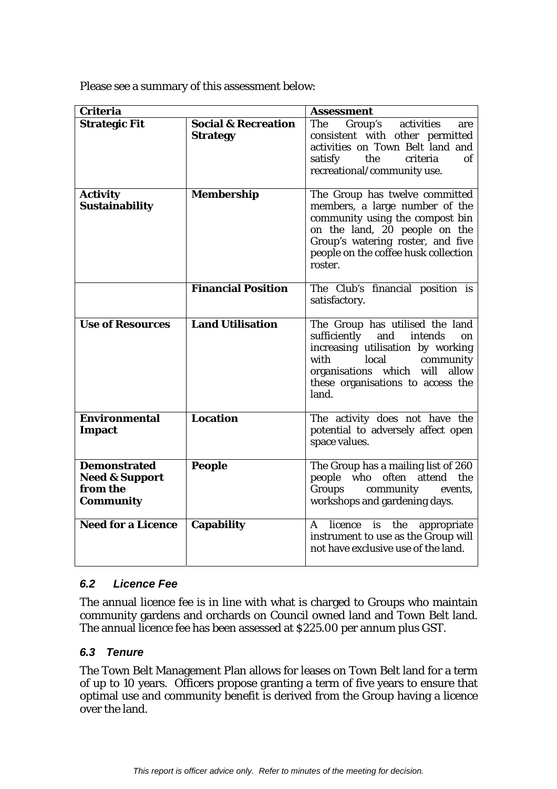Please see a summary of this assessment below:

| <b>Criteria</b>                                                                  |                                                   | <b>Assessment</b>                                                                                                                                                                                                            |
|----------------------------------------------------------------------------------|---------------------------------------------------|------------------------------------------------------------------------------------------------------------------------------------------------------------------------------------------------------------------------------|
| <b>Strategic Fit</b>                                                             | <b>Social &amp; Recreation</b><br><b>Strategy</b> | Group's<br>activities<br>The<br>are<br>consistent with other permitted<br>activities on Town Belt land and<br>the<br>satisfy<br>οf<br>criteria<br>recreational/community use.                                                |
| <b>Activity</b><br><b>Sustainability</b>                                         | <b>Membership</b>                                 | The Group has twelve committed<br>members, a large number of the<br>community using the compost bin<br>on the land, 20 people on the<br>Group's watering roster, and five<br>people on the coffee husk collection<br>roster. |
|                                                                                  | <b>Financial Position</b>                         | The Club's financial position is<br>satisfactory.                                                                                                                                                                            |
| <b>Use of Resources</b>                                                          | <b>Land Utilisation</b>                           | The Group has utilised the land<br>sufficiently<br>and<br>intends<br>on<br>increasing utilisation by working<br>local<br>with<br>community<br>organisations which will allow<br>these organisations to access the<br>land.   |
| <b>Environmental</b><br><b>Impact</b>                                            | <b>Location</b>                                   | The activity does not have the<br>potential to adversely affect open<br>space values.                                                                                                                                        |
| <b>Demonstrated</b><br><b>Need &amp; Support</b><br>from the<br><b>Community</b> | <b>People</b>                                     | The Group has a mailing list of 260<br>people who often attend the<br>Groups<br>community<br>events,<br>workshops and gardening days.                                                                                        |
| <b>Need for a Licence</b>                                                        | <b>Capability</b>                                 | licence is the<br>A<br>appropriate<br>instrument to use as the Group will<br>not have exclusive use of the land.                                                                                                             |

### *6.2 Licence Fee*

The annual licence fee is in line with what is charged to Groups who maintain community gardens and orchards on Council owned land and Town Belt land. The annual licence fee has been assessed at \$225.00 per annum plus GST.

### *6.3 Tenure*

The Town Belt Management Plan allows for leases on Town Belt land for a term of up to 10 years. Officers propose granting a term of five years to ensure that optimal use and community benefit is derived from the Group having a licence over the land.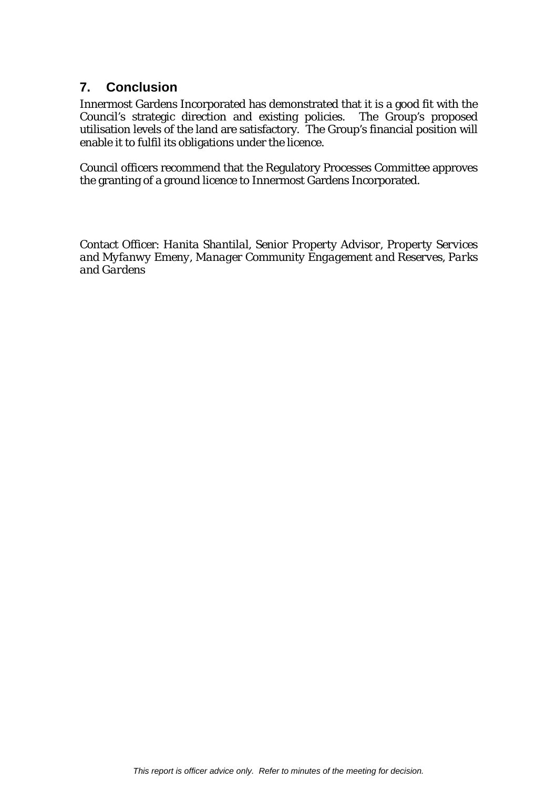# **7. Conclusion**

Innermost Gardens Incorporated has demonstrated that it is a good fit with the Council's strategic direction and existing policies. The Group's proposed utilisation levels of the land are satisfactory. The Group's financial position will enable it to fulfil its obligations under the licence.

Council officers recommend that the Regulatory Processes Committee approves the granting of a ground licence to Innermost Gardens Incorporated.

Contact Officer: *Hanita Shantilal, Senior Property Advisor, Property Services and Myfanwy Emeny, Manager Community Engagement and Reserves, Parks and Gardens*